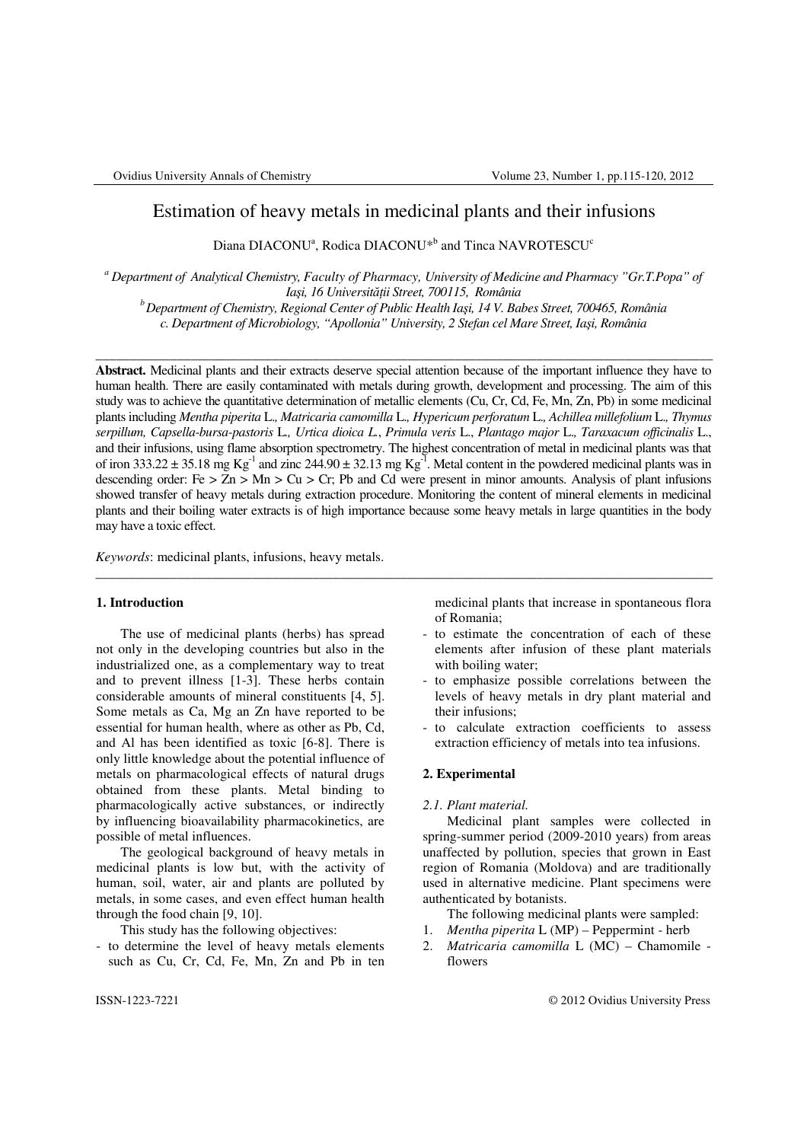# Estimation of heavy metals in medicinal plants and their infusions

Diana  $DIACONU^a$ , Rodica  $DIACONU^{*b}$  and Tinca  $NAVROTESCU^c$ 

*a Department of Analytical Chemistry, Faculty of Pharmacy, University of Medicine and Pharmacy "Gr.T.Popa" of Ia*ş*i, 16 Universit*ăţ*ii Street, 700115, România* 

*<sup>b</sup>Department of Chemistry, Regional Center of Public Health Ia*ş*i, 14 V. Babes Street, 700465, România c. Department of Microbiology, "Apollonia" University, 2 Stefan cel Mare Street, Ia*ş*i, România* 

\_\_\_\_\_\_\_\_\_\_\_\_\_\_\_\_\_\_\_\_\_\_\_\_\_\_\_\_\_\_\_\_\_\_\_\_\_\_\_\_\_\_\_\_\_\_\_\_\_\_\_\_\_\_\_\_\_\_\_\_\_\_\_\_\_\_\_\_\_\_\_\_\_\_\_\_\_\_\_\_\_\_\_\_\_\_\_\_\_\_\_

**Abstract.** Medicinal plants and their extracts deserve special attention because of the important influence they have to human health. There are easily contaminated with metals during growth, development and processing. The aim of this study was to achieve the quantitative determination of metallic elements (Cu, Cr, Cd, Fe, Mn, Zn, Pb) in some medicinal plants including *Mentha piperita* L.*, Matricaria camomilla* L.*, Hypericum perforatum* L.*, Achillea millefolium* L.*, Thymus serpillum, Capsella-bursa-pastoris* L*., Urtica dioica L.*, *Primula veris* L., *Plantago major* L.*, Taraxacum officinalis* L., and their infusions, using flame absorption spectrometry. The highest concentration of metal in medicinal plants was that of iron  $333.22 \pm 35.18$  mg Kg<sup>-1</sup> and zinc  $244.90 \pm 32.13$  mg Kg<sup>-1</sup>. Metal content in the powdered medicinal plants was in descending order: Fe  $> Zn > Mn > Cu > Cr$ ; Pb and Cd were present in minor amounts. Analysis of plant infusions showed transfer of heavy metals during extraction procedure. Monitoring the content of mineral elements in medicinal plants and their boiling water extracts is of high importance because some heavy metals in large quantities in the body may have a toxic effect.

\_\_\_\_\_\_\_\_\_\_\_\_\_\_\_\_\_\_\_\_\_\_\_\_\_\_\_\_\_\_\_\_\_\_\_\_\_\_\_\_\_\_\_\_\_\_\_\_\_\_\_\_\_\_\_\_\_\_\_\_\_\_\_\_\_\_\_\_\_\_\_\_\_\_\_\_\_\_\_\_\_\_\_\_\_\_\_\_\_\_\_

*Keywords*: medicinal plants, infusions, heavy metals.

## **1. Introduction**

The use of medicinal plants (herbs) has spread not only in the developing countries but also in the industrialized one, as a complementary way to treat and to prevent illness [1-3]. These herbs contain considerable amounts of mineral constituents [4, 5]. Some metals as Ca, Mg an Zn have reported to be essential for human health, where as other as Pb, Cd, and Al has been identified as toxic [6-8]. There is only little knowledge about the potential influence of metals on pharmacological effects of natural drugs obtained from these plants. Metal binding to pharmacologically active substances, or indirectly by influencing bioavailability pharmacokinetics, are possible of metal influences.

The geological background of heavy metals in medicinal plants is low but, with the activity of human, soil, water, air and plants are polluted by metals, in some cases, and even effect human health through the food chain [9, 10].

This study has the following objectives:

- to determine the level of heavy metals elements such as Cu, Cr, Cd, Fe, Mn, Zn and Pb in ten

medicinal plants that increase in spontaneous flora of Romania;

- to estimate the concentration of each of these elements after infusion of these plant materials with boiling water;
- to emphasize possible correlations between the levels of heavy metals in dry plant material and their infusions;
- to calculate extraction coefficients to assess extraction efficiency of metals into tea infusions.

#### **2. Experimental**

#### *2.1. Plant material.*

Medicinal plant samples were collected in spring-summer period (2009-2010 years) from areas unaffected by pollution, species that grown in East region of Romania (Moldova) and are traditionally used in alternative medicine. Plant specimens were authenticated by botanists.

The following medicinal plants were sampled:

- 1. *Mentha piperita* L (MP) Peppermint herb
- 2. *Matricaria camomilla* L (MC) Chamomile flowers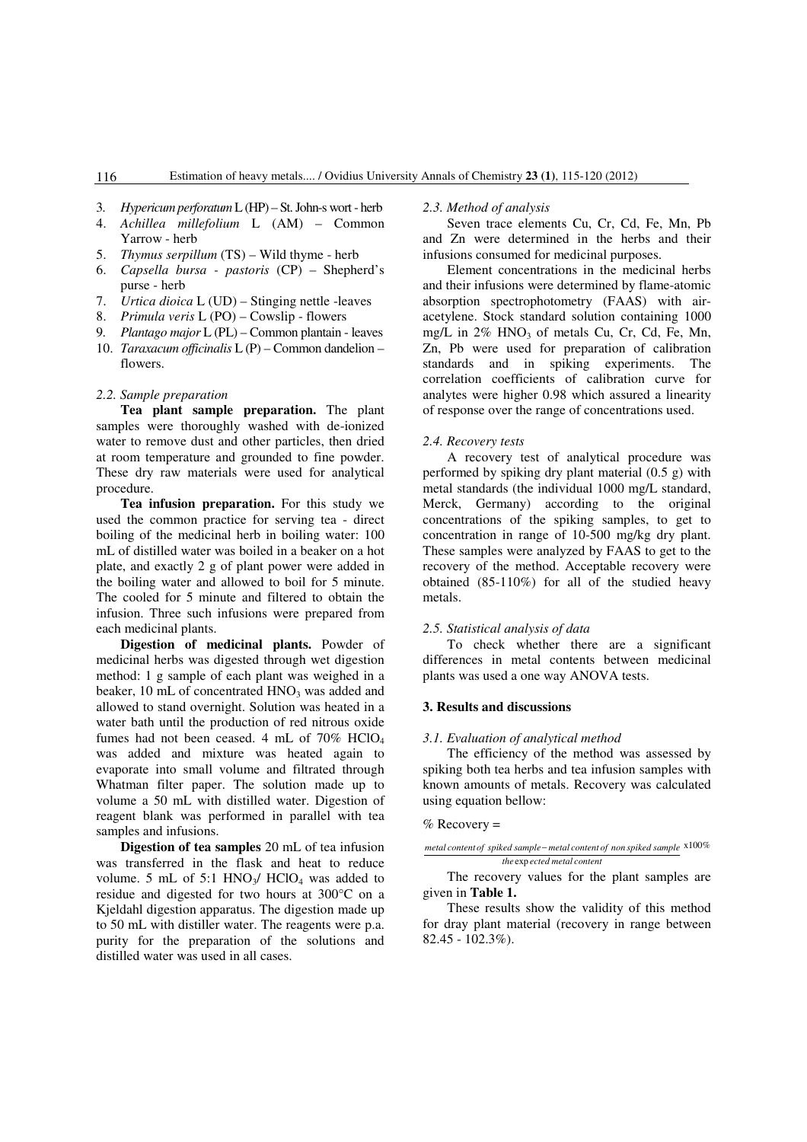- 3. *Hypericum perforatum* L (HP) St. John-s wort herb
- 4. *Achillea millefolium* L (AM) Common Yarrow - herb
- 5. *Thymus serpillum* (TS) Wild thyme herb
- 6. *Capsella bursa pastoris* (CP) Shepherd's purse - herb
- 7. *Urtica dioica* L (UD) Stinging nettle -leaves
- 8. *Primula veris* L (PO) Cowslip flowers
- 9. *Plantago major* L (PL) Common plantain leaves
- 10. *Taraxacum officinalis* L (P) Common dandelion flowers.

#### *2.2. Sample preparation*

**Tea plant sample preparation.** The plant samples were thoroughly washed with de-ionized water to remove dust and other particles, then dried at room temperature and grounded to fine powder. These dry raw materials were used for analytical procedure.

**Tea infusion preparation.** For this study we used the common practice for serving tea - direct boiling of the medicinal herb in boiling water: 100 mL of distilled water was boiled in a beaker on a hot plate, and exactly 2 g of plant power were added in the boiling water and allowed to boil for 5 minute. The cooled for 5 minute and filtered to obtain the infusion. Three such infusions were prepared from each medicinal plants.

**Digestion of medicinal plants.** Powder of medicinal herbs was digested through wet digestion method: 1 g sample of each plant was weighed in a beaker,  $10 \text{ mL of concentrated HNO}_3$  was added and allowed to stand overnight. Solution was heated in a water bath until the production of red nitrous oxide fumes had not been ceased. 4 mL of 70% HClO<sub>4</sub> was added and mixture was heated again to evaporate into small volume and filtrated through Whatman filter paper. The solution made up to volume a 50 mL with distilled water. Digestion of reagent blank was performed in parallel with tea samples and infusions.

**Digestion of tea samples** 20 mL of tea infusion was transferred in the flask and heat to reduce volume. 5 mL of 5:1  $HNO<sub>3</sub>/ HClO<sub>4</sub>$  was added to residue and digested for two hours at 300°C on a Kjeldahl digestion apparatus. The digestion made up to 50 mL with distiller water. The reagents were p.a. purity for the preparation of the solutions and distilled water was used in all cases.

#### *2.3. Method of analysis*

Seven trace elements Cu, Cr, Cd, Fe, Mn, Pb and Zn were determined in the herbs and their infusions consumed for medicinal purposes.

Element concentrations in the medicinal herbs and their infusions were determined by flame-atomic absorption spectrophotometry (FAAS) with airacetylene. Stock standard solution containing 1000 mg/L in  $2\%$  HNO<sub>3</sub> of metals Cu, Cr, Cd, Fe, Mn, Zn, Pb were used for preparation of calibration standards and in spiking experiments. The correlation coefficients of calibration curve for analytes were higher 0.98 which assured a linearity of response over the range of concentrations used.

#### *2.4. Recovery tests*

A recovery test of analytical procedure was performed by spiking dry plant material (0.5 g) with metal standards (the individual 1000 mg/L standard, Merck, Germany) according to the original concentrations of the spiking samples, to get to concentration in range of 10-500 mg/kg dry plant. These samples were analyzed by FAAS to get to the recovery of the method. Acceptable recovery were obtained (85-110%) for all of the studied heavy metals.

## *2.5. Statistical analysis of data*

To check whether there are a significant differences in metal contents between medicinal plants was used a one way ANOVA tests.

### **3. Results and discussions**

#### *3.1. Evaluation of analytical method*

The efficiency of the method was assessed by spiking both tea herbs and tea infusion samples with known amounts of metals. Recovery was calculated using equation bellow:

#### $%$  Recovery =

#### *the ected metal content* exp *metal content of spiked sample metal content of non spiked sample* − x100%

The recovery values for the plant samples are given in **Table 1.**

These results show the validity of this method for dray plant material (recovery in range between 82.45 - 102.3%).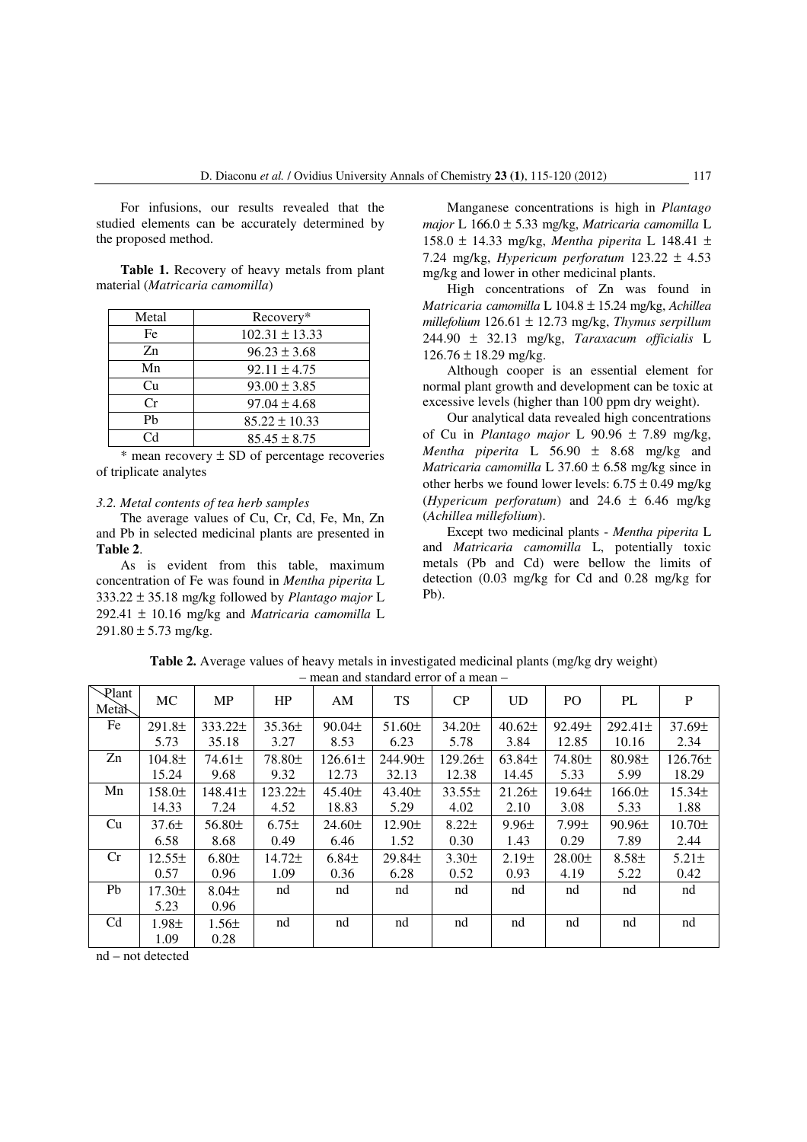For infusions, our results revealed that the studied elements can be accurately determined by the proposed method.

**Table 1.** Recovery of heavy metals from plant material (*Matricaria camomilla*)

| Metal       | Recovery*          |
|-------------|--------------------|
| Fe          | $102.31 \pm 13.33$ |
| $Z_{n}$     | $96.23 \pm 3.68$   |
| Mn          | $92.11 \pm 4.75$   |
| Cu          | $93.00 \pm 3.85$   |
| Cr          | $97.04 \pm 4.68$   |
| Ph          | $85.22 \pm 10.33$  |
| $C_{\rm d}$ | $85.45 \pm 8.75$   |

 $*$  mean recovery  $\pm$  SD of percentage recoveries of triplicate analytes

#### *3.2. Metal contents of tea herb samples*

The average values of Cu, Cr, Cd, Fe, Mn, Zn and Pb in selected medicinal plants are presented in **Table 2**.

As is evident from this table, maximum concentration of Fe was found in *Mentha piperita* L 333.22 ± 35.18 mg/kg followed by *Plantago major* L 292.41 ± 10.16 mg/kg and *Matricaria camomilla* L  $291.80 \pm 5.73$  mg/kg.

Manganese concentrations is high in *Plantago major* L 166.0 ± 5.33 mg/kg, *Matricaria camomilla* L 158.0 ± 14.33 mg/kg, *Mentha piperita* L 148.41 ± 7.24 mg/kg, *Hypericum perforatum* 123.22 ± 4.53 mg/kg and lower in other medicinal plants.

High concentrations of Zn was found in *Matricaria camomilla* L 104.8 ± 15.24 mg/kg, *Achillea millefolium* 126.61 ± 12.73 mg/kg, *Thymus serpillum* 244.90 ± 32.13 mg/kg, *Taraxacum officialis* L  $126.76 \pm 18.29$  mg/kg.

Although cooper is an essential element for normal plant growth and development can be toxic at excessive levels (higher than 100 ppm dry weight).

Our analytical data revealed high concentrations of Cu in *Plantago major* L 90.96 ± 7.89 mg/kg, *Mentha piperita* L 56.90 ± 8.68 mg/kg and *Matricaria camomilla* L  $37.60 \pm 6.58$  mg/kg since in other herbs we found lower levels:  $6.75 \pm 0.49$  mg/kg (*Hypericum perforatum*) and 24.6 ± 6.46 mg/kg (*Achillea millefolium*).

Except two medicinal plants - *Mentha piperita* L and *Matricaria camomilla* L, potentially toxic metals (Pb and Cd) were bellow the limits of detection (0.03 mg/kg for Cd and 0.28 mg/kg for Pb).

| $=$ mean and standard error of a mean $\,$ |                    |                   |            |              |                    |              |                |                    |              |             |
|--------------------------------------------|--------------------|-------------------|------------|--------------|--------------------|--------------|----------------|--------------------|--------------|-------------|
| Plant<br>Meta <sub>N</sub>                 | MC                 | <b>MP</b>         | HP         | AM           | TS                 | CP           | U <sub>D</sub> | PO                 | PL           | P           |
| Fe                                         | 291.8 <sub>±</sub> | $333.22 \pm$      | $35.36\pm$ | $90.04\pm$   | $51.60 \pm$        | 34.20±       | $40.62\pm$     | 92.49±             | $292.41 \pm$ | 37.69±      |
|                                            | 5.73               | 35.18             | 3.27       | 8.53         | 6.23               | 5.78         | 3.84           | 12.85              | 10.16        | 2.34        |
| Zn                                         | 104.8±             | $74.61 \pm$       | 78.80±     | $126.61 \pm$ | 244.90±            | $129.26 \pm$ | $63.84\pm$     | 74.80 <sub>±</sub> | 80.98±       | $126.76\pm$ |
|                                            | 15.24              | 9.68              | 9.32       | 12.73        | 32.13              | 12.38        | 14.45          | 5.33               | 5.99         | 18.29       |
| Mn                                         | 158.0±             | $148.41 \pm$      | 123.22±    | $45.40\pm$   | 43.40±             | $33.55\pm$   | $21.26 \pm$    | $19.64\pm$         | 166.0±       | $15.34\pm$  |
|                                            | 14.33              | 7.24              | 4.52       | 18.83        | 5.29               | 4.02         | 2.10           | 3.08               | 5.33         | 1.88        |
| Cu                                         | 37.6 <sub>±</sub>  | 56.80±            | $6.75\pm$  | 24.60±       | 12.90±             | $8.22 \pm$   | 9.96±          | $7.99 \pm$         | $90.96\pm$   | 10.70±      |
|                                            | 6.58               | 8.68              | 0.49       | 6.46         | 1.52               | 0.30         | 1.43           | 0.29               | 7.89         | 2.44        |
| Cr                                         | $12.55\pm$         | 6.80 <sub>±</sub> | 14.72±     | $6.84\pm$    | 29.84 <sub>±</sub> | $3.30\pm$    | 2.19±          | $28.00\pm$         | $8.58\pm$    | $5.21 \pm$  |
|                                            | 0.57               | 0.96              | 1.09       | 0.36         | 6.28               | 0.52         | 0.93           | 4.19               | 5.22         | 0.42        |
| Pb                                         | 17.30±             | $8.04\pm$         | nd         | nd           | nd                 | nd           | nd             | nd                 | nd           | nd          |
|                                            | 5.23               | 0.96              |            |              |                    |              |                |                    |              |             |
| C <sub>d</sub>                             | $1.98\pm$          | $1.56\pm$         | nd         | nd           | nd                 | nd           | nd             | nd                 | nd           | nd          |
|                                            | 1.09               | 0.28              |            |              |                    |              |                |                    |              |             |

**Table 2.** Average values of heavy metals in investigated medicinal plants (mg/kg dry weight) – mean and standard error of a mean –

nd – not detected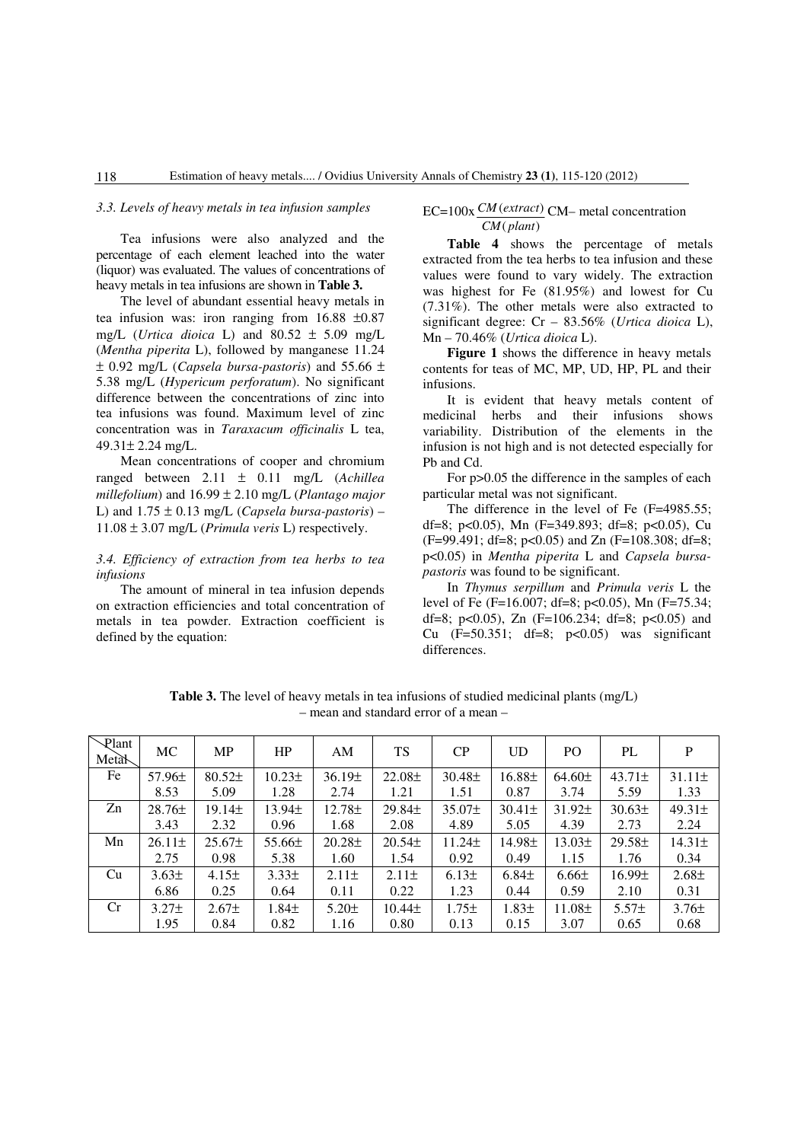### *3.3. Levels of heavy metals in tea infusion samples*

Tea infusions were also analyzed and the percentage of each element leached into the water (liquor) was evaluated. The values of concentrations of heavy metals in tea infusions are shown in **Table 3.**

The level of abundant essential heavy metals in tea infusion was: iron ranging from 16.88 ±0.87 mg/L (*Urtica dioica* L) and 80.52 ± 5.09 mg/L (*Mentha piperita* L), followed by manganese 11.24 ± 0.92 mg/L (*Capsela bursa-pastoris*) and 55.66 ± 5.38 mg/L (*Hypericum perforatum*). No significant difference between the concentrations of zinc into tea infusions was found. Maximum level of zinc concentration was in *Taraxacum officinalis* L tea, 49.31± 2.24 mg/L.

Mean concentrations of cooper and chromium ranged between 2.11 ± 0.11 mg/L (*Achillea millefolium*) and 16.99 ± 2.10 mg/L (*Plantago major* L) and  $1.75 \pm 0.13$  mg/L (*Capsela bursa-pastoris*) –  $11.08 \pm 3.07$  mg/L (*Primula veris* L) respectively.

## *3.4. Efficiency of extraction from tea herbs to tea infusions*

The amount of mineral in tea infusion depends on extraction efficiencies and total concentration of metals in tea powder. Extraction coefficient is defined by the equation:

 $EC = 100x \frac{CM (extract)}{CM}$  CM– metal concentration ( ) *CM plant*

**Table 4** shows the percentage of metals extracted from the tea herbs to tea infusion and these values were found to vary widely. The extraction was highest for Fe (81.95%) and lowest for Cu (7.31%). The other metals were also extracted to significant degree: Cr – 83.56% (*Urtica dioica* L), Mn – 70.46% (*Urtica dioica* L).

**Figure 1** shows the difference in heavy metals contents for teas of MC, MP, UD, HP, PL and their infusions.

It is evident that heavy metals content of medicinal herbs and their infusions shows variability. Distribution of the elements in the infusion is not high and is not detected especially for Pb and Cd.

For p>0.05 the difference in the samples of each particular metal was not significant.

The difference in the level of Fe (F=4985.55; df=8; p<0.05), Mn (F=349.893; df=8; p<0.05), Cu  $(F=99.491; df=8; p<0.05)$  and Zn  $(F=108.308; df=8;$ p<0.05) in *Mentha piperita* L and *Capsela bursapastoris* was found to be significant.

In *Thymus serpillum* and *Primula veris* L the level of Fe (F=16.007; df=8; p<0.05), Mn (F=75.34; df=8; p<0.05), Zn  $(F=106.234; df=8; p<0.05)$  and Cu  $(F=50.351; df=8; p<0.05)$  was significant differences.

**Table 3.** The level of heavy metals in tea infusions of studied medicinal plants (mg/L) – mean and standard error of a mean –

| Plant<br>Meta <sub>N</sub> | MC                | <b>MP</b>         | HP                | AM          | <b>TS</b>          | CP          | $_{\rm UD}$        | P <sub>O</sub> | PL          | P                 |
|----------------------------|-------------------|-------------------|-------------------|-------------|--------------------|-------------|--------------------|----------------|-------------|-------------------|
| Fe                         | $57.96\pm$        | 80.52±            | 10.23±            | 36.19±      | 22.08 <sub>±</sub> | $30.48 \pm$ | 16.88 <sub>±</sub> | $64.60 \pm$    | $43.71\pm$  | $31.11 \pm$       |
|                            | 8.53              | 5.09              | 1.28              | 2.74        | 1.21               | 1.51        | 0.87               | 3.74           | 5.59        | 1.33              |
| Zn                         | $28.76\pm$        | 19.14±            | $13.94\pm$        | 12.78±      | 29.84 <sub>±</sub> | $35.07\pm$  | $30.41 \pm$        | $31.92 \pm$    | $30.63\pm$  | $49.31 \pm$       |
|                            | 3.43              | 2.32              | 0.96              | 1.68        | 2.08               | 4.89        | 5.05               | 4.39           | 2.73        | 2.24              |
| Mn                         | $26.11 \pm$       | $25.67\pm$        | $55.66\pm$        | $20.28 \pm$ | $20.54\pm$         | $11.24 \pm$ | 14.98±             | $13.03\pm$     | $29.58 \pm$ | $14.31 \pm$       |
|                            | 2.75              | 0.98              | 5.38              | 1.60        | 1.54               | 0.92        | 0.49               | 1.15           | 1.76        | 0.34              |
| Cu                         | $3.63\pm$         | 4.15±             | $3.33\pm$         | $2.11 \pm$  | $2.11\pm$          | 6.13±       | $6.84\pm$          | $6.66 \pm$     | $16.99\pm$  | 2.68 <sub>±</sub> |
|                            | 6.86              | 0.25              | 0.64              | 0.11        | 0.22               | 1.23        | 0.44               | 0.59           | 2.10        | 0.31              |
| Cr                         | 3.27 <sub>±</sub> | 2.67 <sub>±</sub> | 1.84 <sub>±</sub> | $5.20 \pm$  | $10.44\pm$         | 1.75±       | $1.83\pm$          | $11.08\pm$     | $5.57\pm$   | $3.76\pm$         |
|                            | 1.95              | 0.84              | 0.82              | 1.16        | 0.80               | 0.13        | 0.15               | 3.07           | 0.65        | 0.68              |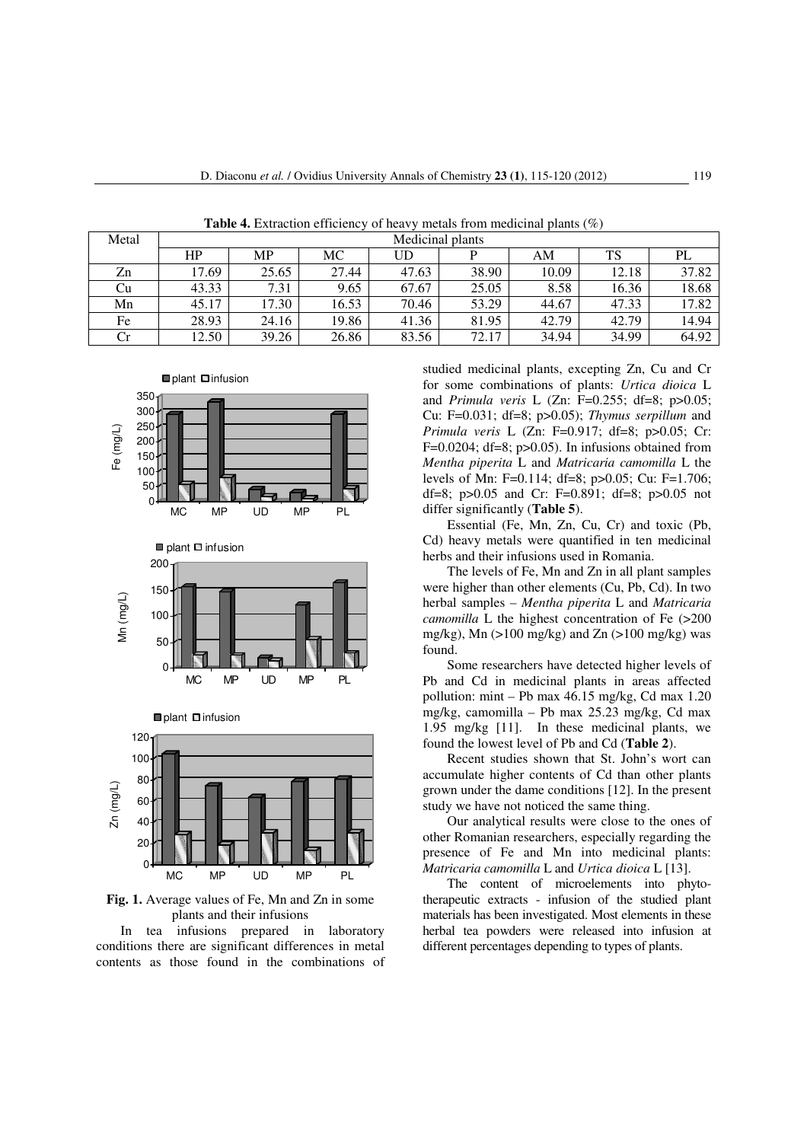| Metal | Medicinal plants |       |       |       |       |       |       |       |  |  |  |
|-------|------------------|-------|-------|-------|-------|-------|-------|-------|--|--|--|
|       | HP               | MP    | МC    | UD    |       | AM    | TS    | PL    |  |  |  |
| Zn    | 17.69            | 25.65 | 27.44 | 47.63 | 38.90 | 10.09 | 12.18 | 37.82 |  |  |  |
| Cu    | 43.33            | 7.31  | 9.65  | 67.67 | 25.05 | 8.58  | 16.36 | 18.68 |  |  |  |
| Mn    | 45.17            | 17.30 | 16.53 | 70.46 | 53.29 | 44.67 | 47.33 | 17.82 |  |  |  |
| Fe    | 28.93            | 24.16 | 19.86 | 41.36 | 81.95 | 42.79 | 42.79 | 14.94 |  |  |  |
| Сr    | 12.50            | 39.26 | 26.86 | 83.56 | 72.17 | 34.94 | 34.99 | 64.92 |  |  |  |

**Table 4.** Extraction efficiency of heavy metals from medicinal plants (%)



**Fig. 1.** Average values of Fe, Mn and Zn in some plants and their infusions

In tea infusions prepared in laboratory conditions there are significant differences in metal contents as those found in the combinations of studied medicinal plants, excepting Zn, Cu and Cr for some combinations of plants: *Urtica dioica* L and *Primula veris* L (Zn: F=0.255; df=8; p>0.05; Cu: F=0.031; df=8; p>0.05); *Thymus serpillum* and *Primula veris* L (Zn: F=0.917; df=8; p>0.05; Cr: F=0.0204; df=8;  $p>0.05$ ). In infusions obtained from *Mentha piperita* L and *Matricaria camomilla* L the levels of Mn: F=0.114; df=8; p>0.05; Cu: F=1.706; df=8; p>0.05 and Cr: F=0.891; df=8; p>0.05 not differ significantly (**Table 5**).

Essential (Fe, Mn, Zn, Cu, Cr) and toxic (Pb, Cd) heavy metals were quantified in ten medicinal herbs and their infusions used in Romania.

The levels of Fe, Mn and Zn in all plant samples were higher than other elements (Cu, Pb, Cd). In two herbal samples – *Mentha piperita* L and *Matricaria camomilla* L the highest concentration of Fe  $(>200$ mg/kg), Mn (>100 mg/kg) and Zn (>100 mg/kg) was found.

Some researchers have detected higher levels of Pb and Cd in medicinal plants in areas affected pollution: mint – Pb max 46.15 mg/kg, Cd max 1.20 mg/kg, camomilla – Pb max 25.23 mg/kg, Cd max 1.95 mg/kg [11]. In these medicinal plants, we found the lowest level of Pb and Cd (**Table 2**).

Recent studies shown that St. John's wort can accumulate higher contents of Cd than other plants grown under the dame conditions [12]. In the present study we have not noticed the same thing.

Our analytical results were close to the ones of other Romanian researchers, especially regarding the presence of Fe and Mn into medicinal plants: *Matricaria camomilla* L and *Urtica dioica* L [13].

The content of microelements into phytotherapeutic extracts - infusion of the studied plant materials has been investigated. Most elements in these herbal tea powders were released into infusion at different percentages depending to types of plants.